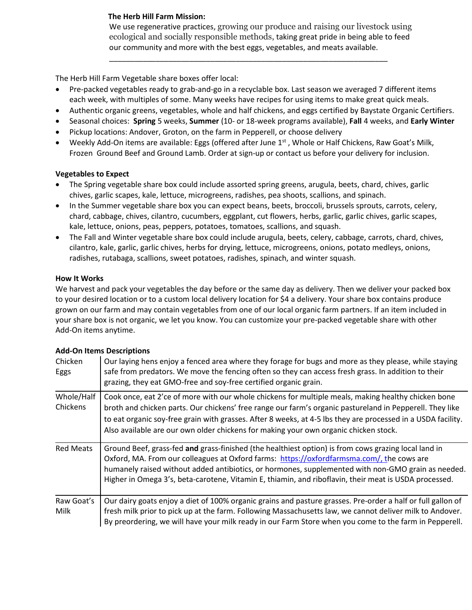### **The Herb Hill Farm Mission:**

We use regenerative practices, growing our produce and raising our livestock using ecological and socially responsible methods, taking great pride in being able to feed our community and more with the best eggs, vegetables, and meats available.

The Herb Hill Farm Vegetable share boxes offer local:

• Pre-packed vegetables ready to grab-and-go in a recyclable box. Last season we averaged 7 different items each week, with multiples of some. Many weeks have recipes for using items to make great quick meals.

\_\_\_\_\_\_\_\_\_\_\_\_\_\_\_\_\_\_\_\_\_\_\_\_\_\_\_\_\_\_\_\_\_\_\_\_\_\_\_\_\_\_\_\_\_\_\_\_\_\_\_\_\_\_\_\_\_\_\_\_\_\_\_\_\_\_

- Authentic organic greens, vegetables, whole and half chickens, and eggs certified by Baystate Organic Certifiers.
- Seasonal choices: **Spring** 5 weeks, **Summer** (10- or 18-week programs available), **Fall** 4 weeks, and **Early Winter**
- Pickup locations: Andover, Groton, on the farm in Pepperell, or choose delivery
- Weekly Add-On items are available: Eggs (offered after June 1<sup>st</sup>, Whole or Half Chickens, Raw Goat's Milk, Frozen Ground Beef and Ground Lamb. Order at sign-up or contact us before your delivery for inclusion.

## **Vegetables to Expect**

- The Spring vegetable share box could include assorted spring greens, arugula, beets, chard, chives, garlic chives, garlic scapes, kale, lettuce, microgreens, radishes, pea shoots, scallions, and spinach.
- In the Summer vegetable share box you can expect beans, beets, broccoli, brussels sprouts, carrots, celery, chard, cabbage, chives, cilantro, cucumbers, eggplant, cut flowers, herbs, garlic, garlic chives, garlic scapes, kale, lettuce, onions, peas, peppers, potatoes, tomatoes, scallions, and squash.
- The Fall and Winter vegetable share box could include arugula, beets, celery, cabbage, carrots, chard, chives, cilantro, kale, garlic, garlic chives, herbs for drying, lettuce, microgreens, onions, potato medleys, onions, radishes, rutabaga, scallions, sweet potatoes, radishes, spinach, and winter squash.

#### **How It Works**

We harvest and pack your vegetables the day before or the same day as delivery. Then we deliver your packed box to your desired location or to a custom local delivery location for \$4 a delivery. Your share box contains produce grown on our farm and may contain vegetables from one of our local organic farm partners. If an item included in your share box is not organic, we let you know. You can customize your pre-packed vegetable share with other Add-On items anytime.

| Chicken<br>Eggs        | Our laying hens enjoy a fenced area where they forage for bugs and more as they please, while staying<br>safe from predators. We move the fencing often so they can access fresh grass. In addition to their<br>grazing, they eat GMO-free and soy-free certified organic grain.                                                                                                                                        |
|------------------------|-------------------------------------------------------------------------------------------------------------------------------------------------------------------------------------------------------------------------------------------------------------------------------------------------------------------------------------------------------------------------------------------------------------------------|
| Whole/Half<br>Chickens | Cook once, eat 2'ce of more with our whole chickens for multiple meals, making healthy chicken bone<br>broth and chicken parts. Our chickens' free range our farm's organic pastureland in Pepperell. They like<br>to eat organic soy-free grain with grasses. After 8 weeks, at 4-5 lbs they are processed in a USDA facility.<br>Also available are our own older chickens for making your own organic chicken stock. |
| <b>Red Meats</b>       | Ground Beef, grass-fed and grass-finished (the healthiest option) is from cows grazing local land in<br>Oxford, MA. From our colleagues at Oxford farms: https://oxfordfarmsma.com/, the cows are<br>humanely raised without added antibiotics, or hormones, supplemented with non-GMO grain as needed.<br>Higher in Omega 3's, beta-carotene, Vitamin E, thiamin, and riboflavin, their meat is USDA processed.        |
| Raw Goat's<br>Milk     | Our dairy goats enjoy a diet of 100% organic grains and pasture grasses. Pre-order a half or full gallon of<br>fresh milk prior to pick up at the farm. Following Massachusetts law, we cannot deliver milk to Andover.<br>By preordering, we will have your milk ready in our Farm Store when you come to the farm in Pepperell.                                                                                       |

#### **Add-On Items Descriptions**